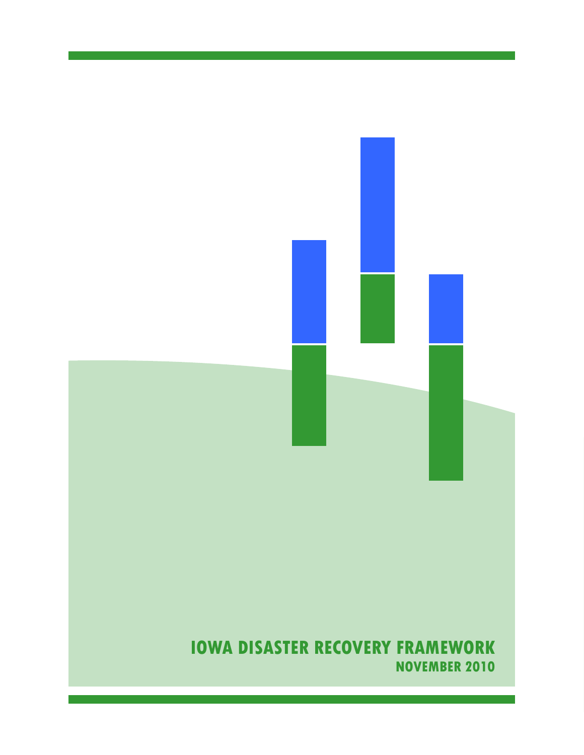# **IOWA DISASTER RECOVERY FRAMEWORK NOVEMBER 2010**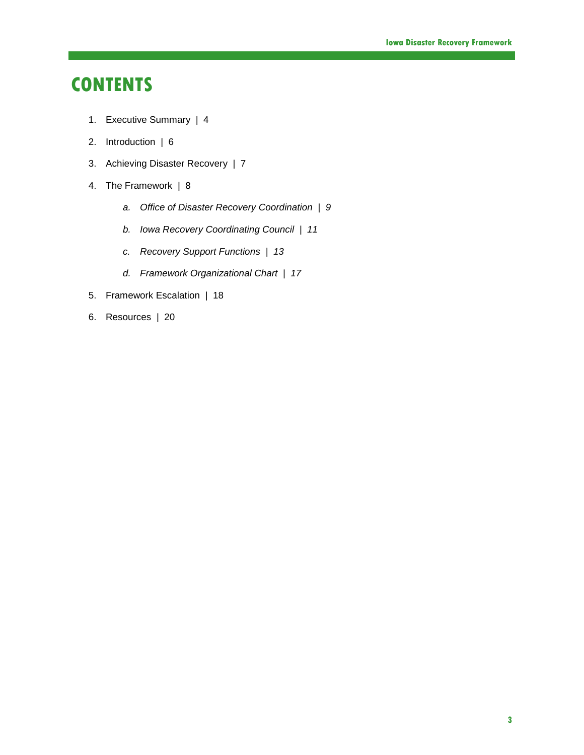# **CONTENTS**

- 1. Executive Summary | 4
- 2. Introduction | 6
- 3. Achieving Disaster Recovery | 7
- 4. The Framework | 8
	- *a. Office of Disaster Recovery Coordination | 9*
	- *b. Iowa Recovery Coordinating Council | 11*
	- *c. Recovery Support Functions | 13*
	- *d. Framework Organizational Chart | 17*
- 5. Framework Escalation | 18
- 6. Resources | 20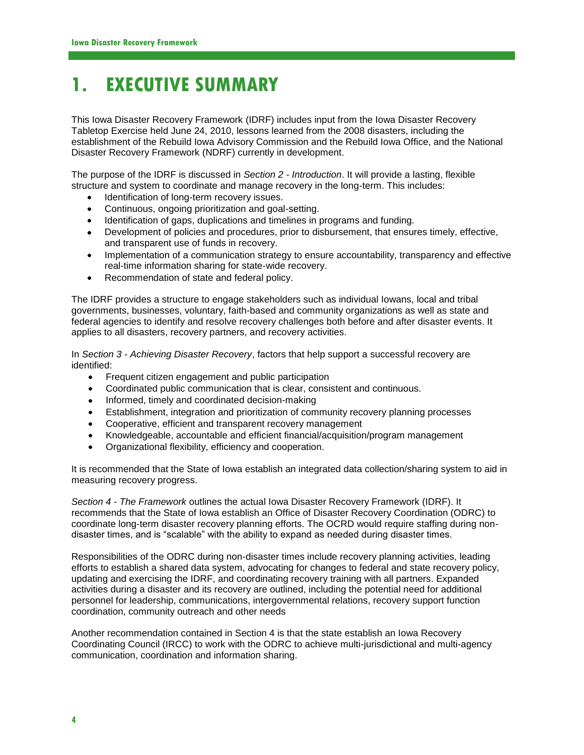# **1. EXECUTIVE SUMMARY**

This Iowa Disaster Recovery Framework (IDRF) includes input from the Iowa Disaster Recovery Tabletop Exercise held June 24, 2010, lessons learned from the 2008 disasters, including the establishment of the Rebuild Iowa Advisory Commission and the Rebuild Iowa Office, and the National Disaster Recovery Framework (NDRF) currently in development.

The purpose of the IDRF is discussed in *Section 2 - Introduction*. It will provide a lasting, flexible structure and system to coordinate and manage recovery in the long-term. This includes:

- Identification of long-term recovery issues.  $\bullet$
- Continuous, ongoing prioritization and goal-setting.
- Identification of gaps, duplications and timelines in programs and funding.
- Development of policies and procedures, prior to disbursement, that ensures timely, effective, and transparent use of funds in recovery.
- Implementation of a communication strategy to ensure accountability, transparency and effective real-time information sharing for state-wide recovery.
- Recommendation of state and federal policy.  $\bullet$

The IDRF provides a structure to engage stakeholders such as individual Iowans, local and tribal governments, businesses, voluntary, faith-based and community organizations as well as state and federal agencies to identify and resolve recovery challenges both before and after disaster events. It applies to all disasters, recovery partners, and recovery activities.

In *Section 3 - Achieving Disaster Recovery*, factors that help support a successful recovery are identified:

- Frequent citizen engagement and public participation  $\bullet$
- $\bullet$ Coordinated public communication that is clear, consistent and continuous.
- Informed, timely and coordinated decision-making
- Establishment, integration and prioritization of community recovery planning processes  $\bullet$
- Cooperative, efficient and transparent recovery management  $\bullet$
- Knowledgeable, accountable and efficient financial/acquisition/program management
- Organizational flexibility, efficiency and cooperation.  $\bullet$

It is recommended that the State of Iowa establish an integrated data collection/sharing system to aid in measuring recovery progress.

*Section 4 - The Framework* outlines the actual Iowa Disaster Recovery Framework (IDRF). It recommends that the State of Iowa establish an Office of Disaster Recovery Coordination (ODRC) to coordinate long-term disaster recovery planning efforts. The OCRD would require staffing during nondisaster times, and is "scalable" with the ability to expand as needed during disaster times.

Responsibilities of the ODRC during non-disaster times include recovery planning activities, leading efforts to establish a shared data system, advocating for changes to federal and state recovery policy, updating and exercising the IDRF, and coordinating recovery training with all partners. Expanded activities during a disaster and its recovery are outlined, including the potential need for additional personnel for leadership, communications, intergovernmental relations, recovery support function coordination, community outreach and other needs

Another recommendation contained in Section 4 is that the state establish an Iowa Recovery Coordinating Council (IRCC) to work with the ODRC to achieve multi-jurisdictional and multi-agency communication, coordination and information sharing.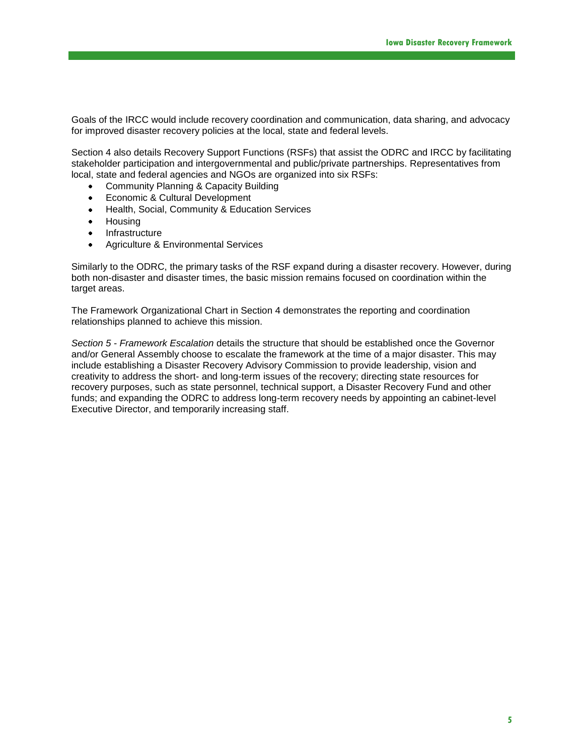Goals of the IRCC would include recovery coordination and communication, data sharing, and advocacy for improved disaster recovery policies at the local, state and federal levels.

Section 4 also details Recovery Support Functions (RSFs) that assist the ODRC and IRCC by facilitating stakeholder participation and intergovernmental and public/private partnerships. Representatives from local, state and federal agencies and NGOs are organized into six RSFs:

- Community Planning & Capacity Building  $\bullet$
- Economic & Cultural Development
- Health, Social, Community & Education Services  $\bullet$
- Housing  $\bullet$
- Infrastructure  $\bullet$
- Agriculture & Environmental Services

Similarly to the ODRC, the primary tasks of the RSF expand during a disaster recovery. However, during both non-disaster and disaster times, the basic mission remains focused on coordination within the target areas.

The Framework Organizational Chart in Section 4 demonstrates the reporting and coordination relationships planned to achieve this mission.

*Section 5 - Framework Escalation* details the structure that should be established once the Governor and/or General Assembly choose to escalate the framework at the time of a major disaster. This may include establishing a Disaster Recovery Advisory Commission to provide leadership, vision and creativity to address the short- and long-term issues of the recovery; directing state resources for recovery purposes, such as state personnel, technical support, a Disaster Recovery Fund and other funds; and expanding the ODRC to address long-term recovery needs by appointing an cabinet-level Executive Director, and temporarily increasing staff.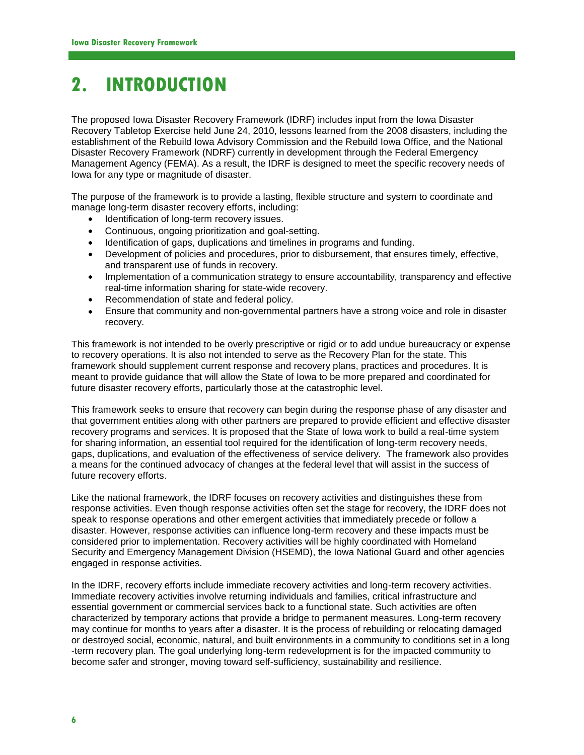# **2. INTRODUCTION**

The proposed Iowa Disaster Recovery Framework (IDRF) includes input from the Iowa Disaster Recovery Tabletop Exercise held June 24, 2010, lessons learned from the 2008 disasters, including the establishment of the Rebuild Iowa Advisory Commission and the Rebuild Iowa Office, and the National Disaster Recovery Framework (NDRF) currently in development through the Federal Emergency Management Agency (FEMA). As a result, the IDRF is designed to meet the specific recovery needs of Iowa for any type or magnitude of disaster.

The purpose of the framework is to provide a lasting, flexible structure and system to coordinate and manage long-term disaster recovery efforts, including:

- Identification of long-term recovery issues.
- Continuous, ongoing prioritization and goal-setting.
- Identification of gaps, duplications and timelines in programs and funding.
- Development of policies and procedures, prior to disbursement, that ensures timely, effective, and transparent use of funds in recovery.
- Implementation of a communication strategy to ensure accountability, transparency and effective real-time information sharing for state-wide recovery.
- Recommendation of state and federal policy.
- Ensure that community and non-governmental partners have a strong voice and role in disaster recovery.

This framework is not intended to be overly prescriptive or rigid or to add undue bureaucracy or expense to recovery operations. It is also not intended to serve as the Recovery Plan for the state. This framework should supplement current response and recovery plans, practices and procedures. It is meant to provide guidance that will allow the State of Iowa to be more prepared and coordinated for future disaster recovery efforts, particularly those at the catastrophic level.

This framework seeks to ensure that recovery can begin during the response phase of any disaster and that government entities along with other partners are prepared to provide efficient and effective disaster recovery programs and services. It is proposed that the State of Iowa work to build a real-time system for sharing information, an essential tool required for the identification of long-term recovery needs, gaps, duplications, and evaluation of the effectiveness of service delivery. The framework also provides a means for the continued advocacy of changes at the federal level that will assist in the success of future recovery efforts.

Like the national framework, the IDRF focuses on recovery activities and distinguishes these from response activities. Even though response activities often set the stage for recovery, the IDRF does not speak to response operations and other emergent activities that immediately precede or follow a disaster. However, response activities can influence long-term recovery and these impacts must be considered prior to implementation. Recovery activities will be highly coordinated with Homeland Security and Emergency Management Division (HSEMD), the Iowa National Guard and other agencies engaged in response activities.

In the IDRF, recovery efforts include immediate recovery activities and long-term recovery activities. Immediate recovery activities involve returning individuals and families, critical infrastructure and essential government or commercial services back to a functional state. Such activities are often characterized by temporary actions that provide a bridge to permanent measures. Long-term recovery may continue for months to years after a disaster. It is the process of rebuilding or relocating damaged or destroyed social, economic, natural, and built environments in a community to conditions set in a long -term recovery plan. The goal underlying long-term redevelopment is for the impacted community to become safer and stronger, moving toward self-sufficiency, sustainability and resilience.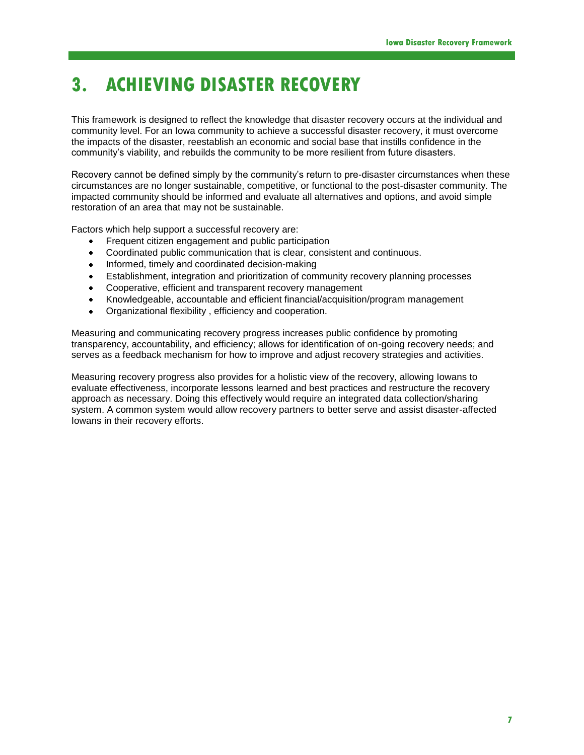# **3. ACHIEVING DISASTER RECOVERY**

This framework is designed to reflect the knowledge that disaster recovery occurs at the individual and community level. For an Iowa community to achieve a successful disaster recovery, it must overcome the impacts of the disaster, reestablish an economic and social base that instills confidence in the community's viability, and rebuilds the community to be more resilient from future disasters.

Recovery cannot be defined simply by the community's return to pre-disaster circumstances when these circumstances are no longer sustainable, competitive, or functional to the post-disaster community. The impacted community should be informed and evaluate all alternatives and options, and avoid simple restoration of an area that may not be sustainable.

Factors which help support a successful recovery are:

- Frequent citizen engagement and public participation
- $\bullet$ Coordinated public communication that is clear, consistent and continuous.
- ٠ Informed, timely and coordinated decision-making
- Establishment, integration and prioritization of community recovery planning processes  $\bullet$
- Cooperative, efficient and transparent recovery management  $\bullet$
- Knowledgeable, accountable and efficient financial/acquisition/program management
- $\bullet$ Organizational flexibility , efficiency and cooperation.

Measuring and communicating recovery progress increases public confidence by promoting transparency, accountability, and efficiency; allows for identification of on-going recovery needs; and serves as a feedback mechanism for how to improve and adjust recovery strategies and activities.

Measuring recovery progress also provides for a holistic view of the recovery, allowing Iowans to evaluate effectiveness, incorporate lessons learned and best practices and restructure the recovery approach as necessary. Doing this effectively would require an integrated data collection/sharing system. A common system would allow recovery partners to better serve and assist disaster-affected Iowans in their recovery efforts.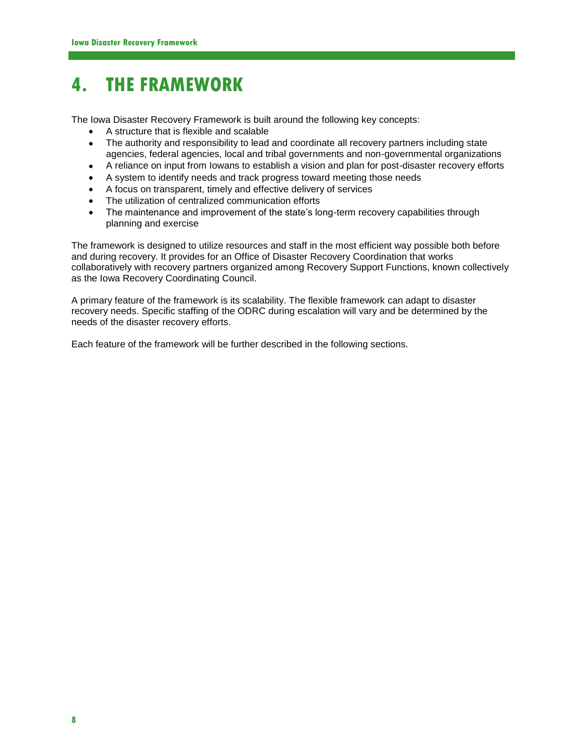# **4. THE FRAMEWORK**

The Iowa Disaster Recovery Framework is built around the following key concepts:

- A structure that is flexible and scalable
- $\bullet$ The authority and responsibility to lead and coordinate all recovery partners including state agencies, federal agencies, local and tribal governments and non-governmental organizations
- A reliance on input from Iowans to establish a vision and plan for post-disaster recovery efforts ٠
- $\bullet$ A system to identify needs and track progress toward meeting those needs
- A focus on transparent, timely and effective delivery of services  $\bullet$
- The utilization of centralized communication efforts  $\bullet$
- The maintenance and improvement of the state's long-term recovery capabilities through  $\bullet$ planning and exercise

The framework is designed to utilize resources and staff in the most efficient way possible both before and during recovery. It provides for an Office of Disaster Recovery Coordination that works collaboratively with recovery partners organized among Recovery Support Functions, known collectively as the Iowa Recovery Coordinating Council.

A primary feature of the framework is its scalability. The flexible framework can adapt to disaster recovery needs. Specific staffing of the ODRC during escalation will vary and be determined by the needs of the disaster recovery efforts.

Each feature of the framework will be further described in the following sections.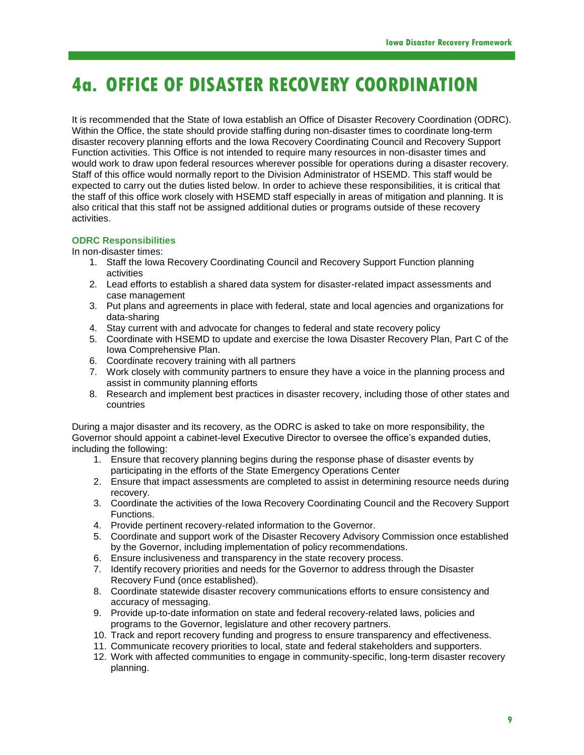# **4a. OFFICE OF DISASTER RECOVERY COORDINATION**

It is recommended that the State of Iowa establish an Office of Disaster Recovery Coordination (ODRC). Within the Office, the state should provide staffing during non-disaster times to coordinate long-term disaster recovery planning efforts and the Iowa Recovery Coordinating Council and Recovery Support Function activities. This Office is not intended to require many resources in non-disaster times and would work to draw upon federal resources wherever possible for operations during a disaster recovery. Staff of this office would normally report to the Division Administrator of HSEMD. This staff would be expected to carry out the duties listed below. In order to achieve these responsibilities, it is critical that the staff of this office work closely with HSEMD staff especially in areas of mitigation and planning. It is also critical that this staff not be assigned additional duties or programs outside of these recovery activities.

### **ODRC Responsibilities**

In non-disaster times:

- 1. Staff the Iowa Recovery Coordinating Council and Recovery Support Function planning activities
- 2. Lead efforts to establish a shared data system for disaster-related impact assessments and case management
- 3. Put plans and agreements in place with federal, state and local agencies and organizations for data-sharing
- 4. Stay current with and advocate for changes to federal and state recovery policy
- 5. Coordinate with HSEMD to update and exercise the Iowa Disaster Recovery Plan, Part C of the Iowa Comprehensive Plan.
- 6. Coordinate recovery training with all partners
- 7. Work closely with community partners to ensure they have a voice in the planning process and assist in community planning efforts
- 8. Research and implement best practices in disaster recovery, including those of other states and countries

During a major disaster and its recovery, as the ODRC is asked to take on more responsibility, the Governor should appoint a cabinet-level Executive Director to oversee the office's expanded duties, including the following:

- 1. Ensure that recovery planning begins during the response phase of disaster events by participating in the efforts of the State Emergency Operations Center
- 2. Ensure that impact assessments are completed to assist in determining resource needs during recovery.
- 3. Coordinate the activities of the Iowa Recovery Coordinating Council and the Recovery Support Functions.
- 4. Provide pertinent recovery-related information to the Governor.
- 5. Coordinate and support work of the Disaster Recovery Advisory Commission once established by the Governor, including implementation of policy recommendations.
- 6. Ensure inclusiveness and transparency in the state recovery process.
- 7. Identify recovery priorities and needs for the Governor to address through the Disaster Recovery Fund (once established).
- 8. Coordinate statewide disaster recovery communications efforts to ensure consistency and accuracy of messaging.
- 9. Provide up-to-date information on state and federal recovery-related laws, policies and programs to the Governor, legislature and other recovery partners.
- 10. Track and report recovery funding and progress to ensure transparency and effectiveness.
- 11. Communicate recovery priorities to local, state and federal stakeholders and supporters.
- 12. Work with affected communities to engage in community-specific, long-term disaster recovery planning.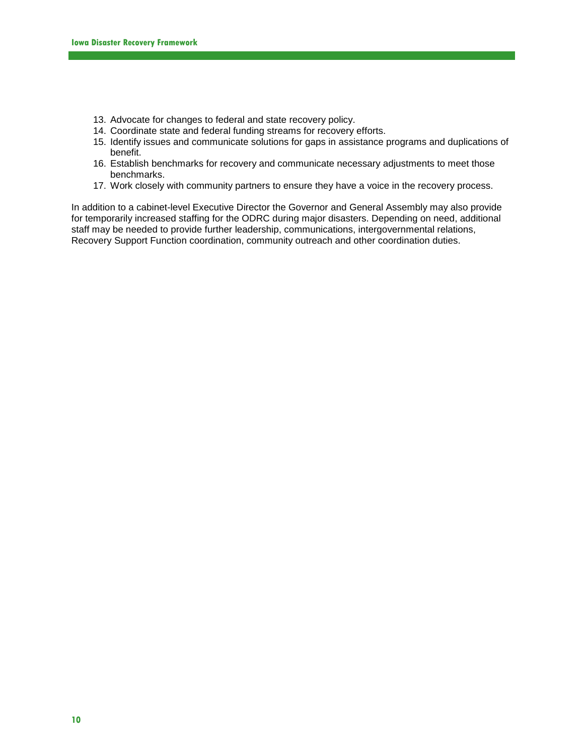- 13. Advocate for changes to federal and state recovery policy.
- 14. Coordinate state and federal funding streams for recovery efforts.
- 15. Identify issues and communicate solutions for gaps in assistance programs and duplications of benefit.
- 16. Establish benchmarks for recovery and communicate necessary adjustments to meet those benchmarks.
- 17. Work closely with community partners to ensure they have a voice in the recovery process.

In addition to a cabinet-level Executive Director the Governor and General Assembly may also provide for temporarily increased staffing for the ODRC during major disasters. Depending on need, additional staff may be needed to provide further leadership, communications, intergovernmental relations, Recovery Support Function coordination, community outreach and other coordination duties.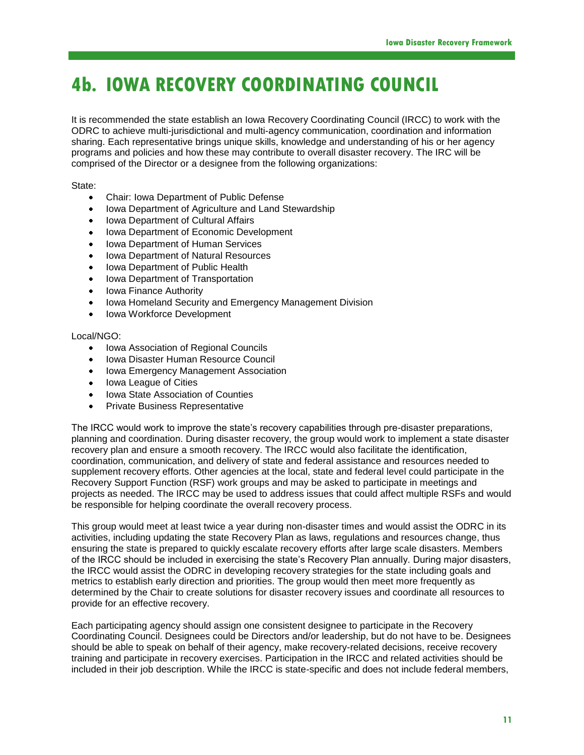# **4b. IOWA RECOVERY COORDINATING COUNCIL**

It is recommended the state establish an Iowa Recovery Coordinating Council (IRCC) to work with the ODRC to achieve multi-jurisdictional and multi-agency communication, coordination and information sharing. Each representative brings unique skills, knowledge and understanding of his or her agency programs and policies and how these may contribute to overall disaster recovery. The IRC will be comprised of the Director or a designee from the following organizations:

State:

- Chair: Iowa Department of Public Defense  $\bullet$
- Iowa Department of Agriculture and Land Stewardship  $\bullet$
- Iowa Department of Cultural Affairs ٠
- Iowa Department of Economic Development  $\bullet$
- Iowa Department of Human Services ٠
- Iowa Department of Natural Resources  $\bullet$
- Iowa Department of Public Health ٠
- $\bullet$ Iowa Department of Transportation
- Iowa Finance Authority ٠
- $\bullet$ Iowa Homeland Security and Emergency Management Division
- Iowa Workforce Development

### Local/NGO:

- Iowa Association of Regional Councils  $\bullet$
- Iowa Disaster Human Resource Council  $\bullet$
- $\bullet$ Iowa Emergency Management Association
- $\bullet$ Iowa League of Cities
- Iowa State Association of Counties  $\bullet$
- $\bullet$ Private Business Representative

The IRCC would work to improve the state's recovery capabilities through pre-disaster preparations, planning and coordination. During disaster recovery, the group would work to implement a state disaster recovery plan and ensure a smooth recovery. The IRCC would also facilitate the identification, coordination, communication, and delivery of state and federal assistance and resources needed to supplement recovery efforts. Other agencies at the local, state and federal level could participate in the Recovery Support Function (RSF) work groups and may be asked to participate in meetings and projects as needed. The IRCC may be used to address issues that could affect multiple RSFs and would be responsible for helping coordinate the overall recovery process.

This group would meet at least twice a year during non-disaster times and would assist the ODRC in its activities, including updating the state Recovery Plan as laws, regulations and resources change, thus ensuring the state is prepared to quickly escalate recovery efforts after large scale disasters. Members of the IRCC should be included in exercising the state's Recovery Plan annually. During major disasters, the IRCC would assist the ODRC in developing recovery strategies for the state including goals and metrics to establish early direction and priorities. The group would then meet more frequently as determined by the Chair to create solutions for disaster recovery issues and coordinate all resources to provide for an effective recovery.

Each participating agency should assign one consistent designee to participate in the Recovery Coordinating Council. Designees could be Directors and/or leadership, but do not have to be. Designees should be able to speak on behalf of their agency, make recovery-related decisions, receive recovery training and participate in recovery exercises. Participation in the IRCC and related activities should be included in their job description. While the IRCC is state-specific and does not include federal members,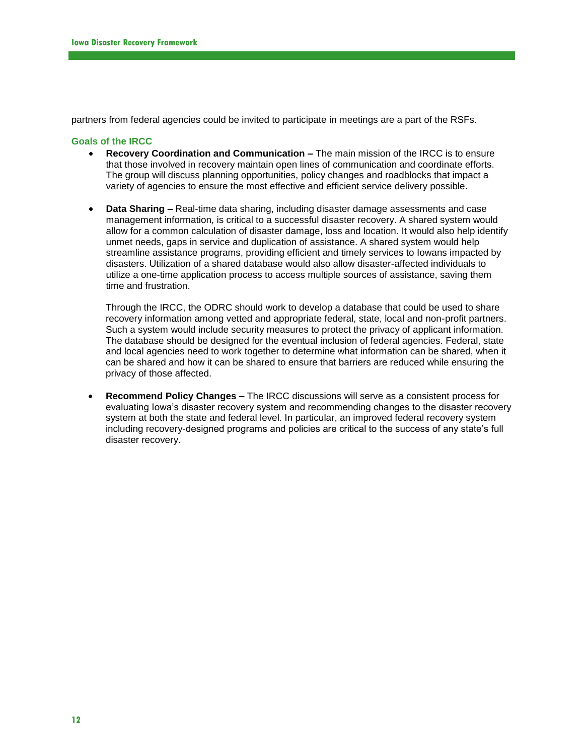partners from federal agencies could be invited to participate in meetings are a part of the RSFs.

### **Goals of the IRCC**

- **Recovery Coordination and Communication –** The main mission of the IRCC is to ensure that those involved in recovery maintain open lines of communication and coordinate efforts. The group will discuss planning opportunities, policy changes and roadblocks that impact a variety of agencies to ensure the most effective and efficient service delivery possible.
- **Data Sharing –** Real-time data sharing, including disaster damage assessments and case management information, is critical to a successful disaster recovery. A shared system would allow for a common calculation of disaster damage, loss and location. It would also help identify unmet needs, gaps in service and duplication of assistance. A shared system would help streamline assistance programs, providing efficient and timely services to Iowans impacted by disasters. Utilization of a shared database would also allow disaster-affected individuals to utilize a one-time application process to access multiple sources of assistance, saving them time and frustration.

Through the IRCC, the ODRC should work to develop a database that could be used to share recovery information among vetted and appropriate federal, state, local and non-profit partners. Such a system would include security measures to protect the privacy of applicant information. The database should be designed for the eventual inclusion of federal agencies. Federal, state and local agencies need to work together to determine what information can be shared, when it can be shared and how it can be shared to ensure that barriers are reduced while ensuring the privacy of those affected.

**Recommend Policy Changes –** The IRCC discussions will serve as a consistent process for evaluating Iowa's disaster recovery system and recommending changes to the disaster recovery system at both the state and federal level. In particular, an improved federal recovery system including recovery-designed programs and policies are critical to the success of any state's full disaster recovery.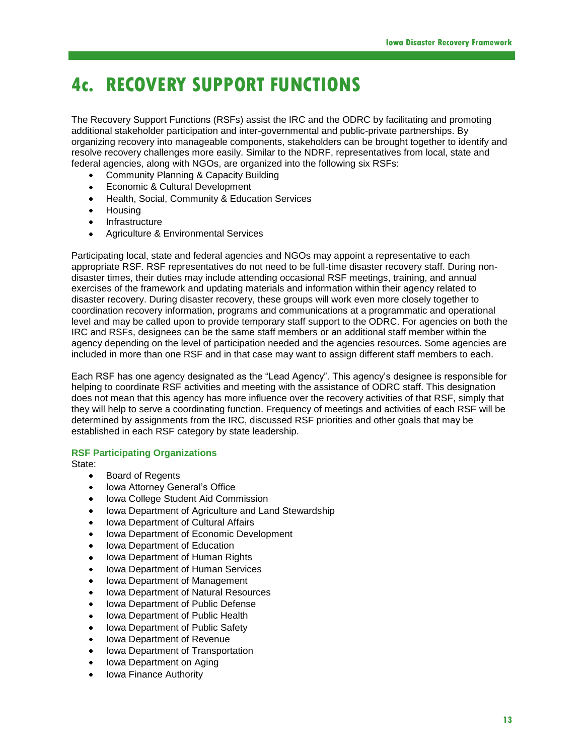# **4c. RECOVERY SUPPORT FUNCTIONS**

The Recovery Support Functions (RSFs) assist the IRC and the ODRC by facilitating and promoting additional stakeholder participation and inter-governmental and public-private partnerships. By organizing recovery into manageable components, stakeholders can be brought together to identify and resolve recovery challenges more easily. Similar to the NDRF, representatives from local, state and federal agencies, along with NGOs, are organized into the following six RSFs:

- Community Planning & Capacity Building
- Economic & Cultural Development ٠
- Health, Social, Community & Education Services  $\bullet$
- **Housing**  $\bullet$
- Infrastructure ٠
- $\bullet$ Agriculture & Environmental Services

Participating local, state and federal agencies and NGOs may appoint a representative to each appropriate RSF. RSF representatives do not need to be full-time disaster recovery staff. During nondisaster times, their duties may include attending occasional RSF meetings, training, and annual exercises of the framework and updating materials and information within their agency related to disaster recovery. During disaster recovery, these groups will work even more closely together to coordination recovery information, programs and communications at a programmatic and operational level and may be called upon to provide temporary staff support to the ODRC. For agencies on both the IRC and RSFs, designees can be the same staff members or an additional staff member within the agency depending on the level of participation needed and the agencies resources. Some agencies are included in more than one RSF and in that case may want to assign different staff members to each.

Each RSF has one agency designated as the "Lead Agency". This agency's designee is responsible for helping to coordinate RSF activities and meeting with the assistance of ODRC staff. This designation does not mean that this agency has more influence over the recovery activities of that RSF, simply that they will help to serve a coordinating function. Frequency of meetings and activities of each RSF will be determined by assignments from the IRC, discussed RSF priorities and other goals that may be established in each RSF category by state leadership.

### **RSF Participating Organizations**

State:

- $\bullet$ Board of Regents
- Iowa Attorney General's Office  $\bullet$
- Iowa College Student Aid Commission ٠
- Iowa Department of Agriculture and Land Stewardship  $\bullet$
- Iowa Department of Cultural Affairs ٠
- Iowa Department of Economic Development  $\bullet$
- Iowa Department of Education 4
- Iowa Department of Human Rights ٠
- Iowa Department of Human Services ٠
- Iowa Department of Management  $\bullet$
- ٠ Iowa Department of Natural Resources
- Iowa Department of Public Defense
- Iowa Department of Public Health  $\bullet$
- ٠ Iowa Department of Public Safety
- Iowa Department of Revenue
- Iowa Department of Transportation  $\bullet$
- Iowa Department on Aging ٠
- Iowa Finance Authority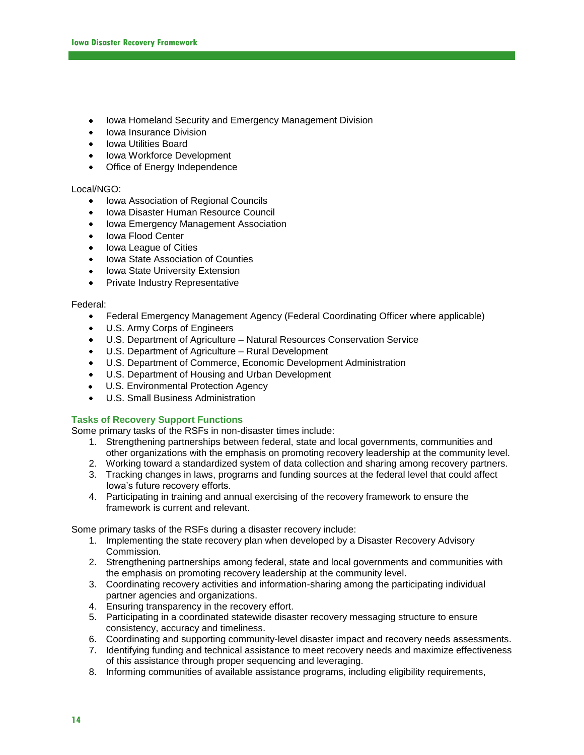- $\bullet$ Iowa Homeland Security and Emergency Management Division
- Iowa Insurance Division  $\bullet$
- Iowa Utilities Board
- Iowa Workforce Development
- $\bullet$ Office of Energy Independence

### Local/NGO:

- Iowa Association of Regional Councils
- Iowa Disaster Human Resource Council  $\bullet$
- $\bullet$ Iowa Emergency Management Association
- Iowa Flood Center  $\bullet$
- Iowa League of Cities  $\bullet$
- Iowa State Association of Counties  $\bullet$
- Iowa State University Extension  $\bullet$
- $\bullet$ Private Industry Representative

### Federal:

- Federal Emergency Management Agency (Federal Coordinating Officer where applicable)  $\bullet$
- U.S. Army Corps of Engineers  $\bullet$
- $\bullet$ U.S. Department of Agriculture – Natural Resources Conservation Service
- $\bullet$  . U.S. Department of Agriculture – Rural Development
- U.S. Department of Commerce, Economic Development Administration  $\bullet$
- U.S. Department of Housing and Urban Development
- $\bullet$ U.S. Environmental Protection Agency
- U.S. Small Business Administration  $\bullet$

### **Tasks of Recovery Support Functions**

Some primary tasks of the RSFs in non-disaster times include:

- 1. Strengthening partnerships between federal, state and local governments, communities and other organizations with the emphasis on promoting recovery leadership at the community level.
- 2. Working toward a standardized system of data collection and sharing among recovery partners.
- 3. Tracking changes in laws, programs and funding sources at the federal level that could affect Iowa's future recovery efforts.
- 4. Participating in training and annual exercising of the recovery framework to ensure the framework is current and relevant.

Some primary tasks of the RSFs during a disaster recovery include:

- 1. Implementing the state recovery plan when developed by a Disaster Recovery Advisory Commission.
- 2. Strengthening partnerships among federal, state and local governments and communities with the emphasis on promoting recovery leadership at the community level.
- 3. Coordinating recovery activities and information-sharing among the participating individual partner agencies and organizations.
- 4. Ensuring transparency in the recovery effort.
- 5. Participating in a coordinated statewide disaster recovery messaging structure to ensure consistency, accuracy and timeliness.
- 6. Coordinating and supporting community-level disaster impact and recovery needs assessments.
- 7. Identifying funding and technical assistance to meet recovery needs and maximize effectiveness of this assistance through proper sequencing and leveraging.
- 8. Informing communities of available assistance programs, including eligibility requirements,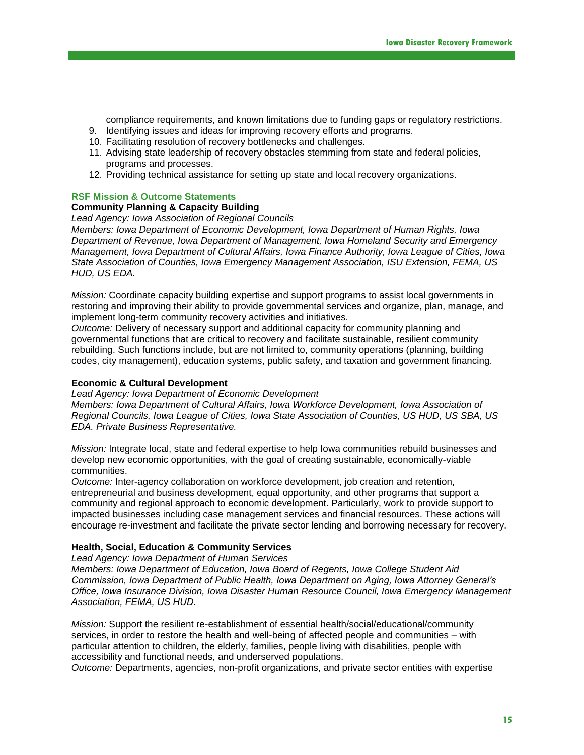compliance requirements, and known limitations due to funding gaps or regulatory restrictions.

- 9. Identifying issues and ideas for improving recovery efforts and programs.
- 10. Facilitating resolution of recovery bottlenecks and challenges.
- 11. Advising state leadership of recovery obstacles stemming from state and federal policies, programs and processes.
- 12. Providing technical assistance for setting up state and local recovery organizations.

### **RSF Mission & Outcome Statements**

### **Community Planning & Capacity Building**

*Lead Agency: Iowa Association of Regional Councils*

*Members: Iowa Department of Economic Development, Iowa Department of Human Rights, Iowa Department of Revenue, Iowa Department of Management, Iowa Homeland Security and Emergency Management, Iowa Department of Cultural Affairs, Iowa Finance Authority, Iowa League of Cities, Iowa State Association of Counties, Iowa Emergency Management Association, ISU Extension, FEMA, US HUD, US EDA.*

*Mission:* Coordinate capacity building expertise and support programs to assist local governments in restoring and improving their ability to provide governmental services and organize, plan, manage, and implement long-term community recovery activities and initiatives.

*Outcome:* Delivery of necessary support and additional capacity for community planning and governmental functions that are critical to recovery and facilitate sustainable, resilient community rebuilding. Such functions include, but are not limited to, community operations (planning, building codes, city management), education systems, public safety, and taxation and government financing.

### **Economic & Cultural Development**

*Lead Agency: Iowa Department of Economic Development*

*Members: Iowa Department of Cultural Affairs, Iowa Workforce Development, Iowa Association of Regional Councils, Iowa League of Cities, Iowa State Association of Counties, US HUD, US SBA, US EDA. Private Business Representative.*

*Mission:* Integrate local, state and federal expertise to help Iowa communities rebuild businesses and develop new economic opportunities, with the goal of creating sustainable, economically-viable communities.

*Outcome:* Inter-agency collaboration on workforce development, job creation and retention, entrepreneurial and business development, equal opportunity, and other programs that support a community and regional approach to economic development. Particularly, work to provide support to impacted businesses including case management services and financial resources. These actions will encourage re-investment and facilitate the private sector lending and borrowing necessary for recovery.

### **Health, Social, Education & Community Services**

*Lead Agency: Iowa Department of Human Services*

*Members: Iowa Department of Education, Iowa Board of Regents, Iowa College Student Aid Commission, Iowa Department of Public Health, Iowa Department on Aging, Iowa Attorney General's Office, Iowa Insurance Division, Iowa Disaster Human Resource Council, Iowa Emergency Management Association, FEMA, US HUD.*

*Mission:* Support the resilient re-establishment of essential health/social/educational/community services, in order to restore the health and well-being of affected people and communities – with particular attention to children, the elderly, families, people living with disabilities, people with accessibility and functional needs, and underserved populations.

*Outcome:* Departments, agencies, non-profit organizations, and private sector entities with expertise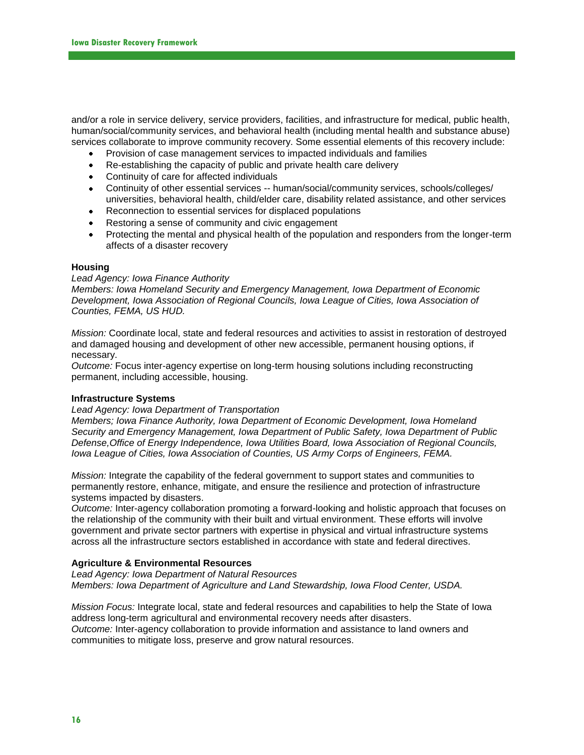and/or a role in service delivery, service providers, facilities, and infrastructure for medical, public health, human/social/community services, and behavioral health (including mental health and substance abuse) services collaborate to improve community recovery. Some essential elements of this recovery include:

- Provision of case management services to impacted individuals and families  $\bullet$
- Re-establishing the capacity of public and private health care delivery  $\bullet$
- Continuity of care for affected individuals  $\bullet$
- Continuity of other essential services -- human/social/community services, schools/colleges/ universities, behavioral health, child/elder care, disability related assistance, and other services
- $\bullet$ Reconnection to essential services for displaced populations
- Restoring a sense of community and civic engagement  $\bullet$
- Protecting the mental and physical health of the population and responders from the longer-term affects of a disaster recovery

### **Housing**

### *Lead Agency: Iowa Finance Authority*

*Members: Iowa Homeland Security and Emergency Management, Iowa Department of Economic Development, Iowa Association of Regional Councils, Iowa League of Cities, Iowa Association of Counties, FEMA, US HUD.*

*Mission:* Coordinate local, state and federal resources and activities to assist in restoration of destroyed and damaged housing and development of other new accessible, permanent housing options, if necessary.

*Outcome:* Focus inter-agency expertise on long-term housing solutions including reconstructing permanent, including accessible, housing.

### **Infrastructure Systems**

### *Lead Agency: Iowa Department of Transportation*

*Members; Iowa Finance Authority, Iowa Department of Economic Development, Iowa Homeland Security and Emergency Management, Iowa Department of Public Safety, Iowa Department of Public Defense,Office of Energy Independence, Iowa Utilities Board, Iowa Association of Regional Councils, Iowa League of Cities, Iowa Association of Counties, US Army Corps of Engineers, FEMA.*

*Mission:* Integrate the capability of the federal government to support states and communities to permanently restore, enhance, mitigate, and ensure the resilience and protection of infrastructure systems impacted by disasters.

*Outcome:* Inter-agency collaboration promoting a forward-looking and holistic approach that focuses on the relationship of the community with their built and virtual environment. These efforts will involve government and private sector partners with expertise in physical and virtual infrastructure systems across all the infrastructure sectors established in accordance with state and federal directives.

### **Agriculture & Environmental Resources**

*Lead Agency: Iowa Department of Natural Resources Members: Iowa Department of Agriculture and Land Stewardship, Iowa Flood Center, USDA.*

*Mission Focus:* Integrate local, state and federal resources and capabilities to help the State of Iowa address long-term agricultural and environmental recovery needs after disasters. *Outcome:* Inter-agency collaboration to provide information and assistance to land owners and communities to mitigate loss, preserve and grow natural resources.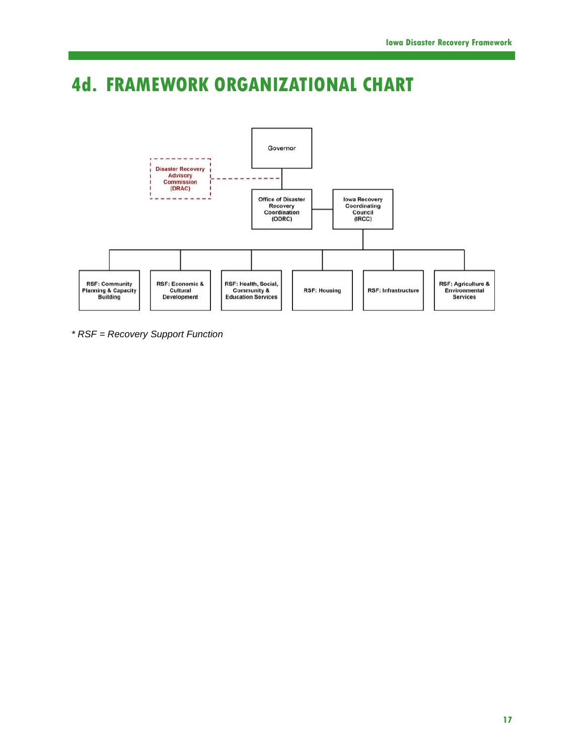# **4d. FRAMEWORK ORGANIZATIONAL CHART**



*\* RSF = Recovery Support Function*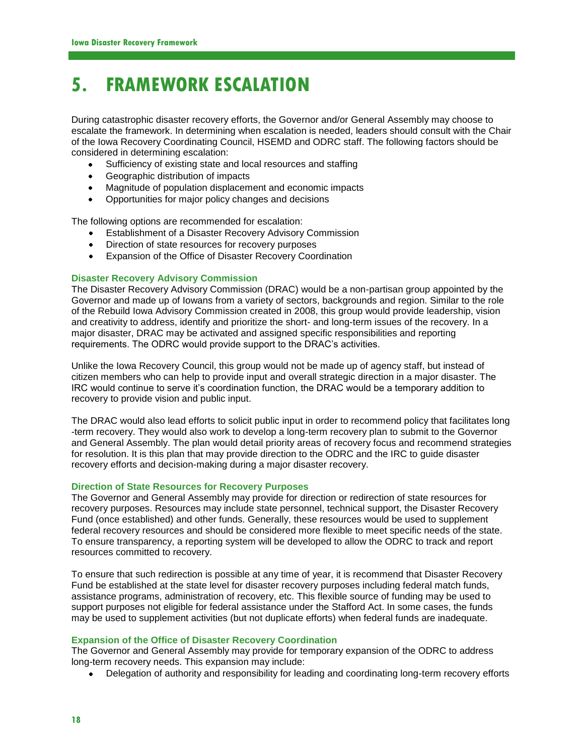# **5. FRAMEWORK ESCALATION**

During catastrophic disaster recovery efforts, the Governor and/or General Assembly may choose to escalate the framework. In determining when escalation is needed, leaders should consult with the Chair of the Iowa Recovery Coordinating Council, HSEMD and ODRC staff. The following factors should be considered in determining escalation:

- Sufficiency of existing state and local resources and staffing  $\bullet$  .
- $\bullet$  . Geographic distribution of impacts
- Magnitude of population displacement and economic impacts
- Opportunities for major policy changes and decisions

The following options are recommended for escalation:

- Establishment of a Disaster Recovery Advisory Commission
- Direction of state resources for recovery purposes
- $\bullet$ Expansion of the Office of Disaster Recovery Coordination

### **Disaster Recovery Advisory Commission**

The Disaster Recovery Advisory Commission (DRAC) would be a non-partisan group appointed by the Governor and made up of Iowans from a variety of sectors, backgrounds and region. Similar to the role of the Rebuild Iowa Advisory Commission created in 2008, this group would provide leadership, vision and creativity to address, identify and prioritize the short- and long-term issues of the recovery. In a major disaster, DRAC may be activated and assigned specific responsibilities and reporting requirements. The ODRC would provide support to the DRAC's activities.

Unlike the Iowa Recovery Council, this group would not be made up of agency staff, but instead of citizen members who can help to provide input and overall strategic direction in a major disaster. The IRC would continue to serve it's coordination function, the DRAC would be a temporary addition to recovery to provide vision and public input.

The DRAC would also lead efforts to solicit public input in order to recommend policy that facilitates long -term recovery. They would also work to develop a long-term recovery plan to submit to the Governor and General Assembly. The plan would detail priority areas of recovery focus and recommend strategies for resolution. It is this plan that may provide direction to the ODRC and the IRC to guide disaster recovery efforts and decision-making during a major disaster recovery.

### **Direction of State Resources for Recovery Purposes**

The Governor and General Assembly may provide for direction or redirection of state resources for recovery purposes. Resources may include state personnel, technical support, the Disaster Recovery Fund (once established) and other funds. Generally, these resources would be used to supplement federal recovery resources and should be considered more flexible to meet specific needs of the state. To ensure transparency, a reporting system will be developed to allow the ODRC to track and report resources committed to recovery.

To ensure that such redirection is possible at any time of year, it is recommend that Disaster Recovery Fund be established at the state level for disaster recovery purposes including federal match funds, assistance programs, administration of recovery, etc. This flexible source of funding may be used to support purposes not eligible for federal assistance under the Stafford Act. In some cases, the funds may be used to supplement activities (but not duplicate efforts) when federal funds are inadequate.

### **Expansion of the Office of Disaster Recovery Coordination**

The Governor and General Assembly may provide for temporary expansion of the ODRC to address long-term recovery needs. This expansion may include:

Delegation of authority and responsibility for leading and coordinating long-term recovery efforts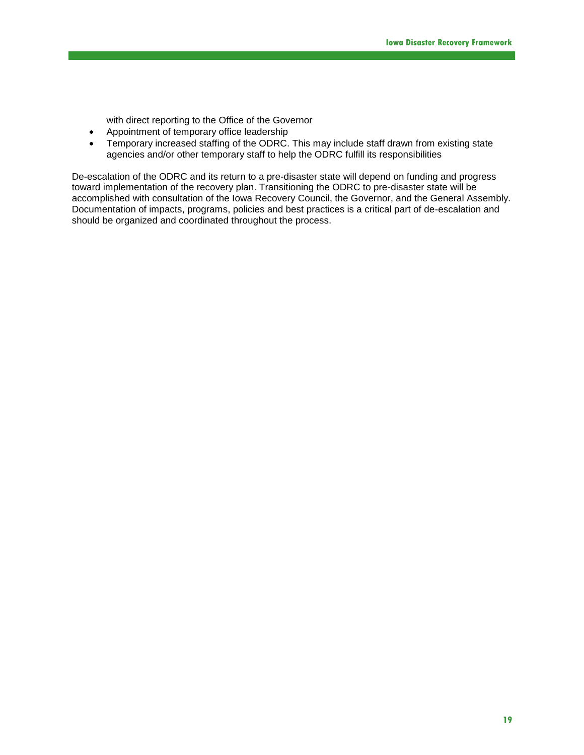with direct reporting to the Office of the Governor

- Appointment of temporary office leadership
- Temporary increased staffing of the ODRC. This may include staff drawn from existing state  $\bullet$ agencies and/or other temporary staff to help the ODRC fulfill its responsibilities

De-escalation of the ODRC and its return to a pre-disaster state will depend on funding and progress toward implementation of the recovery plan. Transitioning the ODRC to pre-disaster state will be accomplished with consultation of the Iowa Recovery Council, the Governor, and the General Assembly. Documentation of impacts, programs, policies and best practices is a critical part of de-escalation and should be organized and coordinated throughout the process.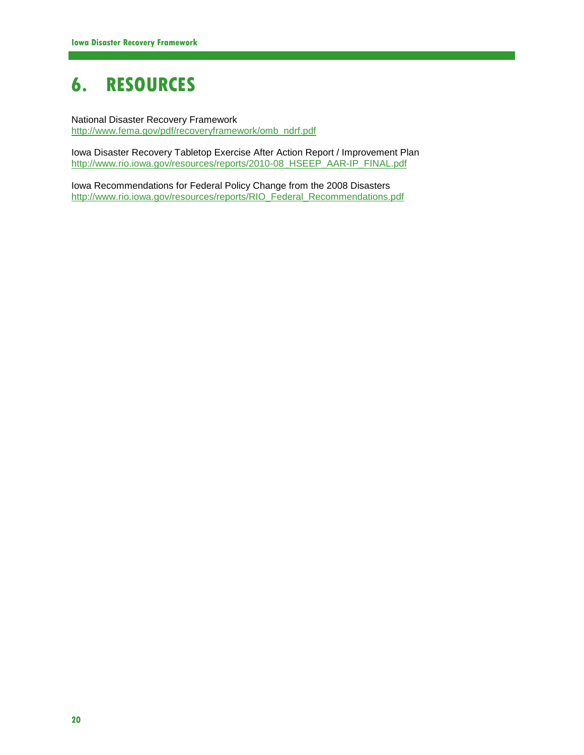# **6. RESOURCES**

National Disaster Recovery Framework [http://www.fema.gov/pdf/recoveryframework/omb\\_ndrf.pdf](http://www.fema.gov/pdf/recoveryframework/omb_ndrf.pdf)

Iowa Disaster Recovery Tabletop Exercise After Action Report / Improvement Plan [http://www.rio.iowa.gov/resources/reports/2010-08\\_HSEEP\\_AAR-IP\\_FINAL.pdf](http://www.rio.iowa.gov/resources/reports/2010-08_HSEEP_AAR-IP_FINAL.pdf)

Iowa Recommendations for Federal Policy Change from the 2008 Disasters [http://www.rio.iowa.gov/resources/reports/RIO\\_Federal\\_Recommendations.pdf](http://www.rio.iowa.gov/resources/reports/RIO_Federal_Recommendations.pdf)